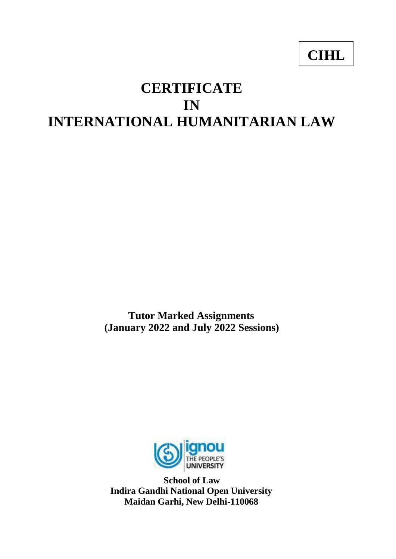# **CIHL**

# **CERTIFICATE IN INTERNATIONAL HUMANITARIAN LAW**

**Tutor Marked Assignments (January 2022 and July 2022 Sessions)**



**School of Law Indira Gandhi National Open University Maidan Garhi, New Delhi-110068**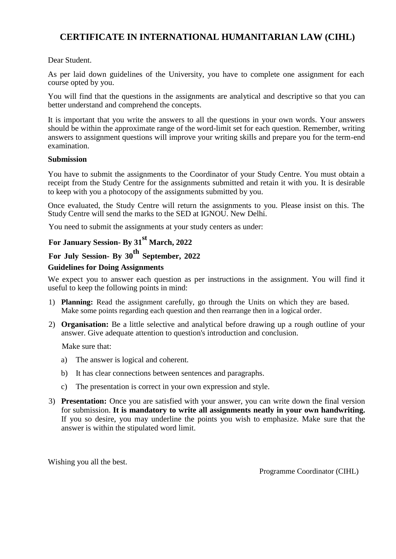# **CERTIFICATE IN INTERNATIONAL HUMANITARIAN LAW (CIHL)**

Dear Student.

As per laid down guidelines of the University, you have to complete one assignment for each course opted by you.

You will find that the questions in the assignments are analytical and descriptive so that you can better understand and comprehend the concepts.

It is important that you write the answers to all the questions in your own words. Your answers should be within the approximate range of the word-limit set for each question. Remember, writing answers to assignment questions will improve your writing skills and prepare you for the term-end examination.

#### **Submission**

You have to submit the assignments to the Coordinator of your Study Centre. You must obtain a receipt from the Study Centre for the assignments submitted and retain it with you. It is desirable to keep with you a photocopy of the assignments submitted by you.

Once evaluated, the Study Centre will return the assignments to you. Please insist on this. The Study Centre will send the marks to the SED at IGNOU. New Delhi.

You need to submit the assignments at your study centers as under:

# **For January Session- By 31st March, 2022**

# **For July Session- By 30th September, 2022**

#### **Guidelines for Doing Assignments**

We expect you to answer each question as per instructions in the assignment. You will find it useful to keep the following points in mind:

- 1) **Planning:** Read the assignment carefully, go through the Units on which they are based. Make some points regarding each question and then rearrange then in a logical order.
- 2) **Organisation:** Be a little selective and analytical before drawing up a rough outline of your answer. Give adequate attention to question's introduction and conclusion.

Make sure that:

- a) The answer is logical and coherent.
- b) It has clear connections between sentences and paragraphs.
- c) The presentation is correct in your own expression and style.
- 3) **Presentation:** Once you are satisfied with your answer, you can write down the final version for submission. **It is mandatory to write all assignments neatly in your own handwriting.**  If you so desire, you may underline the points you wish to emphasize. Make sure that the answer is within the stipulated word limit.

Wishing you all the best.

Programme Coordinator (CIHL)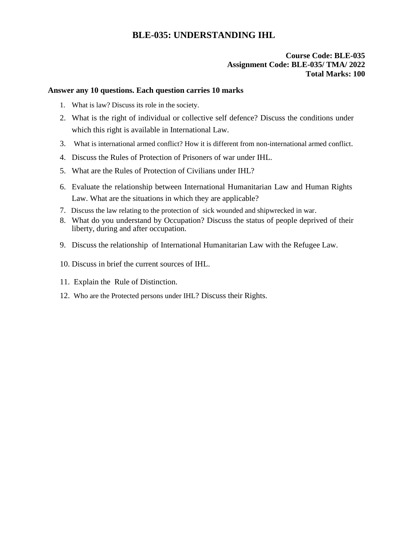# **BLE-035: UNDERSTANDING IHL**

#### **Course Code: BLE-035 Assignment Code: BLE-035/ TMA/ 2022 Total Marks: 100**

#### **Answer any 10 questions. Each question carries 10 marks**

- 1. What is law? Discuss its role in the society.
- 2. What is the right of individual or collective self defence? Discuss the conditions under which this right is available in International Law.
- 3. What is international armed conflict? How it is different from non-international armed conflict.
- 4. Discuss the Rules of Protection of Prisoners of war under IHL.
- 5. What are the Rules of Protection of Civilians under IHL?
- 6. Evaluate the relationship between International Humanitarian Law and Human Rights Law. What are the situations in which they are applicable?
- 7. Discuss the law relating to the protection of sick wounded and shipwrecked in war.
- 8. What do you understand by Occupation? Discuss the status of people deprived of their liberty, during and after occupation.
- 9. Discuss the relationship of International Humanitarian Law with the Refugee Law.
- 10. Discuss in brief the current sources of IHL.
- 11. Explain the Rule of Distinction.
- 12. Who are the Protected persons under IHL? Discuss their Rights.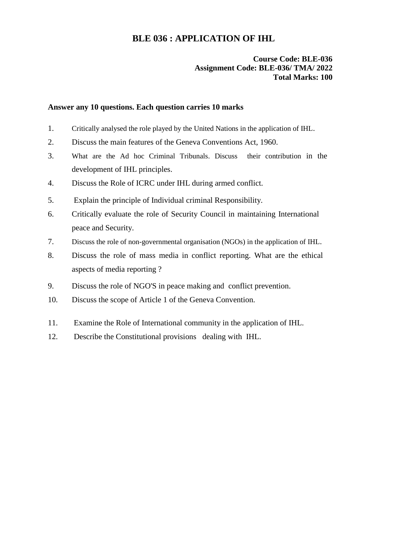## **BLE 036 : APPLICATION OF IHL**

#### **Course Code: BLE-036 Assignment Code: BLE-036/ TMA/ 2022 Total Marks: 100**

#### **Answer any 10 questions. Each question carries 10 marks**

- 1. Critically analysed the role played by the United Nations in the application of IHL.
- 2. Discuss the main features of the Geneva Conventions Act, 1960.
- 3. What are the Ad hoc Criminal Tribunals. Discuss their contribution in the development of IHL principles.
- 4. Discuss the Role of ICRC under IHL during armed conflict.
- 5. Explain the principle of Individual criminal Responsibility.
- 6. Critically evaluate the role of Security Council in maintaining International peace and Security.
- 7. Discuss the role of non-governmental organisation (NGOs) in the application of IHL.
- 8. Discuss the role of mass media in conflict reporting. What are the ethical aspects of media reporting ?
- 9. Discuss the role of NGO'S in peace making and conflict prevention.
- 10. Discuss the scope of Article 1 of the Geneva Convention.
- 11. Examine the Role of International community in the application of IHL.
- 12. Describe the Constitutional provisions dealing with IHL.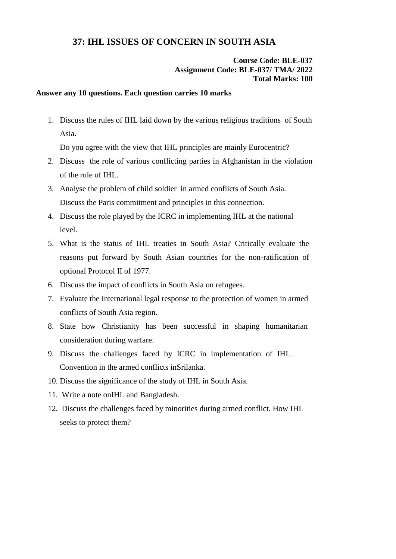## **37: IHL ISSUES OF CONCERN IN SOUTH ASIA**

#### **Course Code: BLE-037 Assignment Code: BLE-037/ TMA/ 2022 Total Marks: 100**

#### **Answer any 10 questions. Each question carries 10 marks**

1. Discuss the rules of IHL laid down by the various religious traditions of South Asia.

Do you agree with the view that IHL principles are mainly Eurocentric?

- 2. Discuss the role of various conflicting parties in Afghanistan in the violation of the rule of IHL.
- 3. Analyse the problem of child soldier in armed conflicts of South Asia. Discuss the Paris commitment and principles in this connection.
- 4. Discuss the role played by the ICRC in implementing IHL at the national level.
- 5. What is the status of IHL treaties in South Asia? Critically evaluate the reasons put forward by South Asian countries for the non-ratification of optional Protocol II of 1977.
- 6. Discuss the impact of conflicts in South Asia on refugees.
- 7. Evaluate the International legal response to the protection of women in armed conflicts of South Asia region.
- 8. State how Christianity has been successful in shaping humanitarian consideration during warfare.
- 9. Discuss the challenges faced by ICRC in implementation of IHL Convention in the armed conflicts inSrilanka.
- 10. Discuss the significance of the study of IHL in South Asia.
- 11. Write a note onIHL and Bangladesh.
- 12. Discuss the challenges faced by minorities during armed conflict. How IHL seeks to protect them?